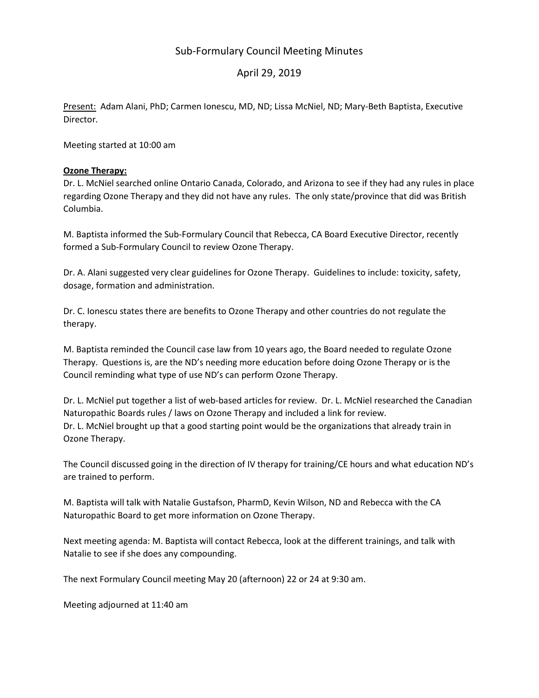## Sub-Formulary Council Meeting Minutes

## April 29, 2019

Present: Adam Alani, PhD; Carmen Ionescu, MD, ND; Lissa McNiel, ND; Mary-Beth Baptista, Executive Director.

Meeting started at 10:00 am

#### Ozone Therapy:

Dr. L. McNiel searched online Ontario Canada, Colorado, and Arizona to see if they had any rules in place regarding Ozone Therapy and they did not have any rules. The only state/province that did was British Columbia.

M. Baptista informed the Sub-Formulary Council that Rebecca, CA Board Executive Director, recently formed a Sub-Formulary Council to review Ozone Therapy.

Dr. A. Alani suggested very clear guidelines for Ozone Therapy. Guidelines to include: toxicity, safety, dosage, formation and administration.

Dr. C. Ionescu states there are benefits to Ozone Therapy and other countries do not regulate the therapy.

M. Baptista reminded the Council case law from 10 years ago, the Board needed to regulate Ozone Therapy. Questions is, are the ND's needing more education before doing Ozone Therapy or is the Council reminding what type of use ND's can perform Ozone Therapy.

Dr. L. McNiel put together a list of web-based articles for review. Dr. L. McNiel researched the Canadian Naturopathic Boards rules / laws on Ozone Therapy and included a link for review. Dr. L. McNiel brought up that a good starting point would be the organizations that already train in Ozone Therapy.

The Council discussed going in the direction of IV therapy for training/CE hours and what education ND's are trained to perform.

M. Baptista will talk with Natalie Gustafson, PharmD, Kevin Wilson, ND and Rebecca with the CA Naturopathic Board to get more information on Ozone Therapy.

Next meeting agenda: M. Baptista will contact Rebecca, look at the different trainings, and talk with Natalie to see if she does any compounding.

The next Formulary Council meeting May 20 (afternoon) 22 or 24 at 9:30 am.

Meeting adjourned at 11:40 am